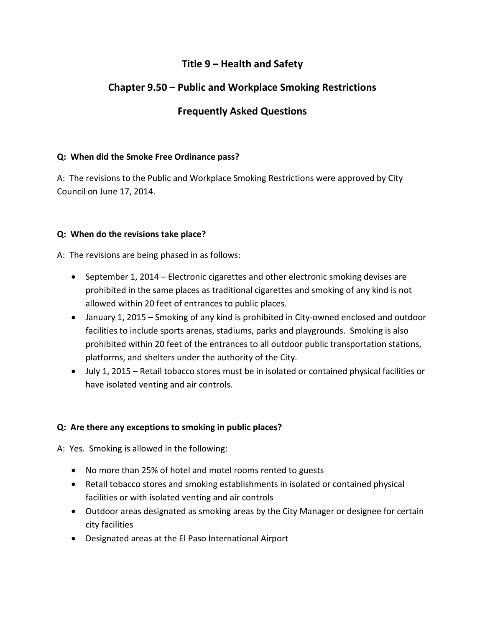## **Title 9 – Health and Safety**

# **Chapter 9.50 – Public and Workplace Smoking Restrictions**

## **Frequently Asked Questions**

### **Q: When did the Smoke Free Ordinance pass?**

A: The revisions to the Public and Workplace Smoking Restrictions were approved by City Council on June 17, 2014.

#### **Q: When do the revisions take place?**

A: The revisions are being phased in as follows:

- September 1, 2014 Electronic cigarettes and other electronic smoking devises are prohibited in the same places as traditional cigarettes and smoking of any kind is not allowed within 20 feet of entrances to public places.
- January 1, 2015 Smoking of any kind is prohibited in City-owned enclosed and outdoor facilities to include sports arenas, stadiums, parks and playgrounds. Smoking is also prohibited within 20 feet of the entrances to all outdoor public transportation stations, platforms, and shelters under the authority of the City.
- July 1, 2015 Retail tobacco stores must be in isolated or contained physical facilities or have isolated venting and air controls.

## **Q: Are there any exceptions to smoking in public places?**

A: Yes. Smoking is allowed in the following:

- No more than 25% of hotel and motel rooms rented to guests
- Retail tobacco stores and smoking establishments in isolated or contained physical facilities or with isolated venting and air controls
- Outdoor areas designated as smoking areas by the City Manager or designee for certain city facilities
- Designated areas at the El Paso International Airport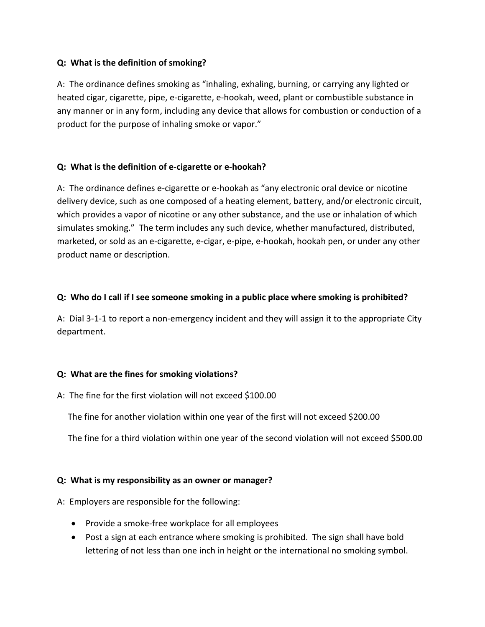### **Q: What is the definition of smoking?**

A: The ordinance defines smoking as "inhaling, exhaling, burning, or carrying any lighted or heated cigar, cigarette, pipe, e-cigarette, e-hookah, weed, plant or combustible substance in any manner or in any form, including any device that allows for combustion or conduction of a product for the purpose of inhaling smoke or vapor."

## **Q: What is the definition of e-cigarette or e-hookah?**

A: The ordinance defines e-cigarette or e-hookah as "any electronic oral device or nicotine delivery device, such as one composed of a heating element, battery, and/or electronic circuit, which provides a vapor of nicotine or any other substance, and the use or inhalation of which simulates smoking." The term includes any such device, whether manufactured, distributed, marketed, or sold as an e-cigarette, e-cigar, e-pipe, e-hookah, hookah pen, or under any other product name or description.

## **Q: Who do I call if I see someone smoking in a public place where smoking is prohibited?**

A: Dial 3-1-1 to report a non-emergency incident and they will assign it to the appropriate City department.

## **Q: What are the fines for smoking violations?**

A: The fine for the first violation will not exceed \$100.00

The fine for another violation within one year of the first will not exceed \$200.00

The fine for a third violation within one year of the second violation will not exceed \$500.00

## **Q: What is my responsibility as an owner or manager?**

A: Employers are responsible for the following:

- Provide a smoke-free workplace for all employees
- Post a sign at each entrance where smoking is prohibited. The sign shall have bold lettering of not less than one inch in height or the international no smoking symbol.